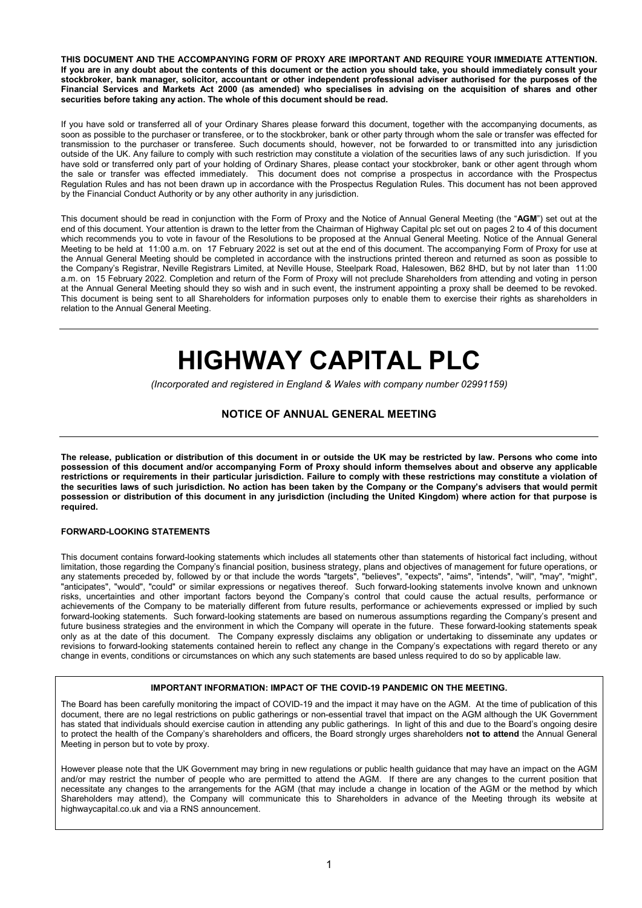THIS DOCUMENT AND THE ACCOMPANYING FORM OF PROXY ARE IMPORTANT AND REQUIRE YOUR IMMEDIATE ATTENTION. If you are in any doubt about the contents of this document or the action you should take, you should immediately consult your stockbroker, bank manager, solicitor, accountant or other independent professional adviser authorised for the purposes of the Financial Services and Markets Act 2000 (as amended) who specialises in advising on the acquisition of shares and other securities before taking any action. The whole of this document should be read.

If you have sold or transferred all of your Ordinary Shares please forward this document, together with the accompanying documents, as soon as possible to the purchaser or transferee, or to the stockbroker, bank or other party through whom the sale or transfer was effected for transmission to the purchaser or transferee. Such documents should, however, not be forwarded to or transmitted into any jurisdiction outside of the UK. Any failure to comply with such restriction may constitute a violation of the securities laws of any such jurisdiction. If you have sold or transferred only part of your holding of Ordinary Shares, please contact your stockbroker, bank or other agent through whom the sale or transfer was effected immediately. This document does not comprise a prospectus in accordance with the Prospectus Regulation Rules and has not been drawn up in accordance with the Prospectus Regulation Rules. This document has not been approved by the Financial Conduct Authority or by any other authority in any jurisdiction.

This document should be read in conjunction with the Form of Proxy and the Notice of Annual General Meeting (the "AGM") set out at the end of this document. Your attention is drawn to the letter from the Chairman of Highway Capital plc set out on pages 2 to 4 of this document which recommends you to vote in favour of the Resolutions to be proposed at the Annual General Meeting. Notice of the Annual General Meeting to be held at 11:00 a.m. on 17 February 2022 is set out at the end of this document. The accompanying Form of Proxy for use at the Annual General Meeting should be completed in accordance with the instructions printed thereon and returned as soon as possible to the Company's Registrar, Neville Registrars Limited, at Neville House, Steelpark Road, Halesowen, B62 8HD, but by not later than 11:00 a.m. on 15 February 2022. Completion and return of the Form of Proxy will not preclude Shareholders from attending and voting in person at the Annual General Meeting should they so wish and in such event, the instrument appointing a proxy shall be deemed to be revoked. This document is being sent to all Shareholders for information purposes only to enable them to exercise their rights as shareholders in relation to the Annual General Meeting.

# HIGHWAY CAPITAL PLC

(Incorporated and registered in England & Wales with company number 02991159)

#### NOTICE OF ANNUAL GENERAL MEETING

The release, publication or distribution of this document in or outside the UK may be restricted by law. Persons who come into possession of this document and/or accompanying Form of Proxy should inform themselves about and observe any applicable restrictions or requirements in their particular jurisdiction. Failure to comply with these restrictions may constitute a violation of the securities laws of such jurisdiction. No action has been taken by the Company or the Company's advisers that would permit possession or distribution of this document in any jurisdiction (including the United Kingdom) where action for that purpose is required.

#### FORWARD-LOOKING STATEMENTS

This document contains forward-looking statements which includes all statements other than statements of historical fact including, without limitation, those regarding the Company's financial position, business strategy, plans and objectives of management for future operations, or any statements preceded by, followed by or that include the words "targets", "believes", "expects", "aims", "intends", "will", "may", "might", "anticipates", "would", "could" or similar expressions or negatives thereof. Such forward-looking statements involve known and unknown risks, uncertainties and other important factors beyond the Company's control that could cause the actual results, performance or achievements of the Company to be materially different from future results, performance or achievements expressed or implied by such forward-looking statements. Such forward-looking statements are based on numerous assumptions regarding the Company's present and future business strategies and the environment in which the Company will operate in the future. These forward-looking statements speak only as at the date of this document. The Company expressly disclaims any obligation or undertaking to disseminate any updates or revisions to forward-looking statements contained herein to reflect any change in the Company's expectations with regard thereto or any change in events, conditions or circumstances on which any such statements are based unless required to do so by applicable law.

#### IMPORTANT INFORMATION: IMPACT OF THE COVID-19 PANDEMIC ON THE MEETING.

The Board has been carefully monitoring the impact of COVID-19 and the impact it may have on the AGM. At the time of publication of this document, there are no legal restrictions on public gatherings or non-essential travel that impact on the AGM although the UK Government has stated that individuals should exercise caution in attending any public gatherings. In light of this and due to the Board's ongoing desire to protect the health of the Company's shareholders and officers, the Board strongly urges shareholders not to attend the Annual General Meeting in person but to vote by proxy.

However please note that the UK Government may bring in new regulations or public health guidance that may have an impact on the AGM and/or may restrict the number of people who are permitted to attend the AGM. If there are any changes to the current position that necessitate any changes to the arrangements for the AGM (that may include a change in location of the AGM or the method by which Shareholders may attend), the Company will communicate this to Shareholders in advance of the Meeting through its website at highwaycapital.co.uk and via a RNS announcement.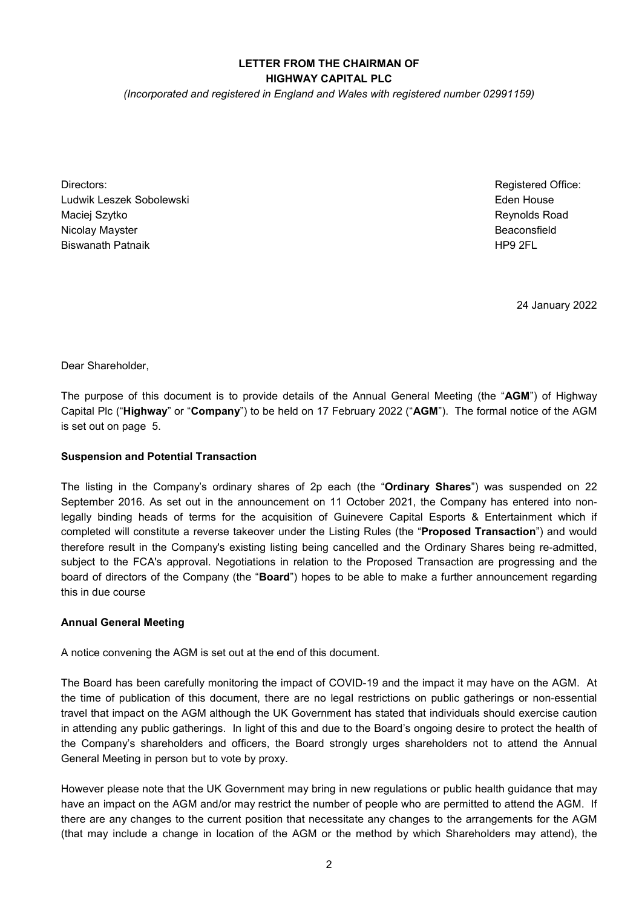#### LETTER FROM THE CHAIRMAN OF HIGHWAY CAPITAL PLC

(Incorporated and registered in England and Wales with registered number 02991159)

Directors: Ludwik Leszek Sobolewski Maciej Szytko Nicolay Mayster Biswanath Patnaik

Registered Office: Eden House Reynolds Road Beaconsfield HP9 2FL

24 January 2022

Dear Shareholder,

The purpose of this document is to provide details of the Annual General Meeting (the "AGM") of Highway Capital Plc ("Highway" or "Company") to be held on 17 February 2022 ("AGM"). The formal notice of the AGM is set out on page 5.

#### Suspension and Potential Transaction

The listing in the Company's ordinary shares of 2p each (the "Ordinary Shares") was suspended on 22 September 2016. As set out in the announcement on 11 October 2021, the Company has entered into nonlegally binding heads of terms for the acquisition of Guinevere Capital Esports & Entertainment which if completed will constitute a reverse takeover under the Listing Rules (the "Proposed Transaction") and would therefore result in the Company's existing listing being cancelled and the Ordinary Shares being re-admitted, subject to the FCA's approval. Negotiations in relation to the Proposed Transaction are progressing and the board of directors of the Company (the "**Board**") hopes to be able to make a further announcement regarding this in due course

#### Annual General Meeting

A notice convening the AGM is set out at the end of this document.

The Board has been carefully monitoring the impact of COVID-19 and the impact it may have on the AGM. At the time of publication of this document, there are no legal restrictions on public gatherings or non-essential travel that impact on the AGM although the UK Government has stated that individuals should exercise caution in attending any public gatherings. In light of this and due to the Board's ongoing desire to protect the health of the Company's shareholders and officers, the Board strongly urges shareholders not to attend the Annual General Meeting in person but to vote by proxy.

However please note that the UK Government may bring in new regulations or public health guidance that may have an impact on the AGM and/or may restrict the number of people who are permitted to attend the AGM. If there are any changes to the current position that necessitate any changes to the arrangements for the AGM (that may include a change in location of the AGM or the method by which Shareholders may attend), the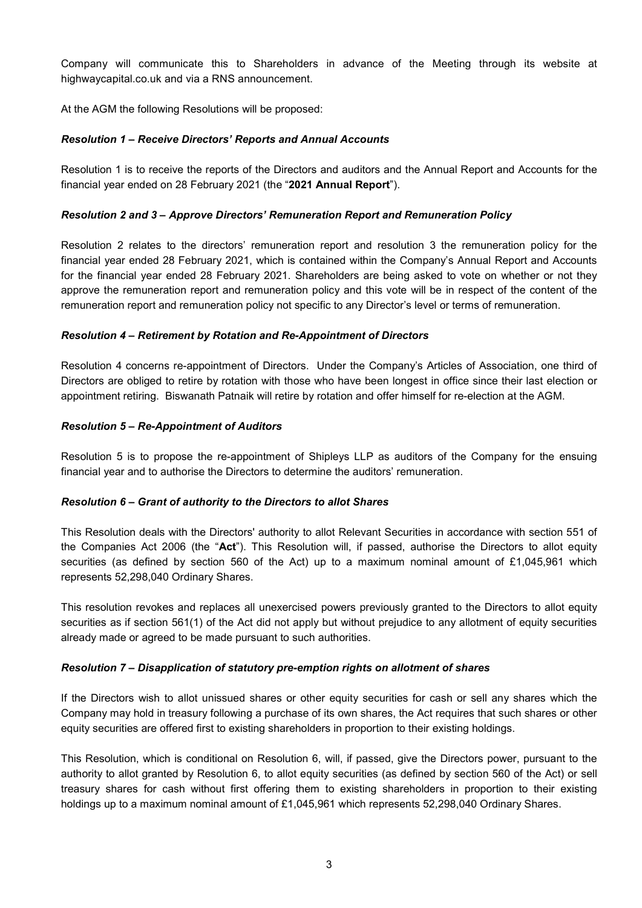Company will communicate this to Shareholders in advance of the Meeting through its website at highwaycapital.co.uk and via a RNS announcement.

At the AGM the following Resolutions will be proposed:

#### Resolution 1 – Receive Directors' Reports and Annual Accounts

Resolution 1 is to receive the reports of the Directors and auditors and the Annual Report and Accounts for the financial year ended on 28 February 2021 (the "2021 Annual Report").

#### Resolution 2 and 3 – Approve Directors' Remuneration Report and Remuneration Policy

Resolution 2 relates to the directors' remuneration report and resolution 3 the remuneration policy for the financial year ended 28 February 2021, which is contained within the Company's Annual Report and Accounts for the financial year ended 28 February 2021. Shareholders are being asked to vote on whether or not they approve the remuneration report and remuneration policy and this vote will be in respect of the content of the remuneration report and remuneration policy not specific to any Director's level or terms of remuneration.

#### Resolution 4 – Retirement by Rotation and Re-Appointment of Directors

Resolution 4 concerns re-appointment of Directors. Under the Company's Articles of Association, one third of Directors are obliged to retire by rotation with those who have been longest in office since their last election or appointment retiring. Biswanath Patnaik will retire by rotation and offer himself for re-election at the AGM.

#### Resolution 5 – Re-Appointment of Auditors

Resolution 5 is to propose the re-appointment of Shipleys LLP as auditors of the Company for the ensuing financial year and to authorise the Directors to determine the auditors' remuneration.

#### Resolution 6 – Grant of authority to the Directors to allot Shares

This Resolution deals with the Directors' authority to allot Relevant Securities in accordance with section 551 of the Companies Act 2006 (the "Act"). This Resolution will, if passed, authorise the Directors to allot equity securities (as defined by section 560 of the Act) up to a maximum nominal amount of £1,045,961 which represents 52,298,040 Ordinary Shares.

This resolution revokes and replaces all unexercised powers previously granted to the Directors to allot equity securities as if section 561(1) of the Act did not apply but without prejudice to any allotment of equity securities already made or agreed to be made pursuant to such authorities.

#### Resolution 7 – Disapplication of statutory pre-emption rights on allotment of shares

If the Directors wish to allot unissued shares or other equity securities for cash or sell any shares which the Company may hold in treasury following a purchase of its own shares, the Act requires that such shares or other equity securities are offered first to existing shareholders in proportion to their existing holdings.

This Resolution, which is conditional on Resolution 6, will, if passed, give the Directors power, pursuant to the authority to allot granted by Resolution 6, to allot equity securities (as defined by section 560 of the Act) or sell treasury shares for cash without first offering them to existing shareholders in proportion to their existing holdings up to a maximum nominal amount of £1,045,961 which represents 52,298,040 Ordinary Shares.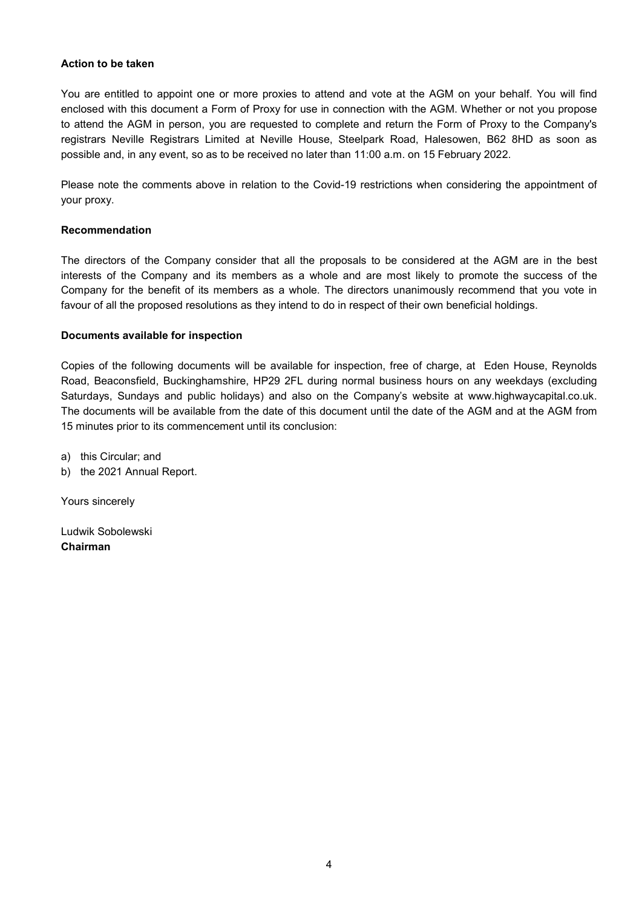#### Action to be taken

You are entitled to appoint one or more proxies to attend and vote at the AGM on your behalf. You will find enclosed with this document a Form of Proxy for use in connection with the AGM. Whether or not you propose to attend the AGM in person, you are requested to complete and return the Form of Proxy to the Company's registrars Neville Registrars Limited at Neville House, Steelpark Road, Halesowen, B62 8HD as soon as possible and, in any event, so as to be received no later than 11:00 a.m. on 15 February 2022.

Please note the comments above in relation to the Covid-19 restrictions when considering the appointment of your proxy.

#### Recommendation

The directors of the Company consider that all the proposals to be considered at the AGM are in the best interests of the Company and its members as a whole and are most likely to promote the success of the Company for the benefit of its members as a whole. The directors unanimously recommend that you vote in favour of all the proposed resolutions as they intend to do in respect of their own beneficial holdings.

#### Documents available for inspection

Copies of the following documents will be available for inspection, free of charge, at Eden House, Reynolds Road, Beaconsfield, Buckinghamshire, HP29 2FL during normal business hours on any weekdays (excluding Saturdays, Sundays and public holidays) and also on the Company's website at www.highwaycapital.co.uk. The documents will be available from the date of this document until the date of the AGM and at the AGM from 15 minutes prior to its commencement until its conclusion:

a) this Circular; and

b) the 2021 Annual Report.

Yours sincerely

Ludwik Sobolewski Chairman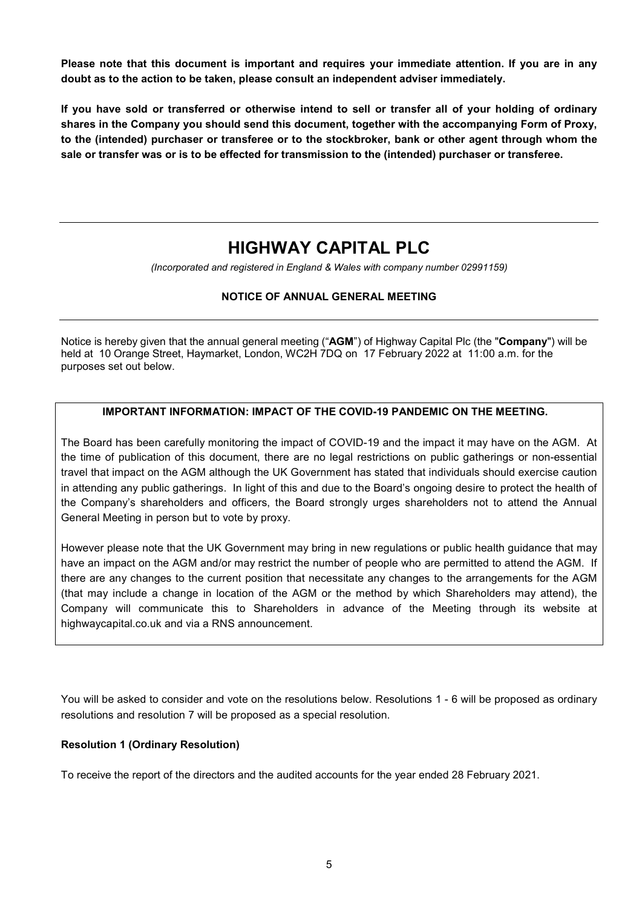Please note that this document is important and requires your immediate attention. If you are in any doubt as to the action to be taken, please consult an independent adviser immediately.

If you have sold or transferred or otherwise intend to sell or transfer all of your holding of ordinary shares in the Company you should send this document, together with the accompanying Form of Proxy, to the (intended) purchaser or transferee or to the stockbroker, bank or other agent through whom the sale or transfer was or is to be effected for transmission to the (intended) purchaser or transferee.

# HIGHWAY CAPITAL PLC

(Incorporated and registered in England & Wales with company number 02991159)

# NOTICE OF ANNUAL GENERAL MEETING

Notice is hereby given that the annual general meeting ("AGM") of Highway Capital Plc (the "Company") will be held at 10 Orange Street, Haymarket, London, WC2H 7DQ on 17 February 2022 at 11:00 a.m. for the purposes set out below.

### IMPORTANT INFORMATION: IMPACT OF THE COVID-19 PANDEMIC ON THE MEETING.

The Board has been carefully monitoring the impact of COVID-19 and the impact it may have on the AGM. At the time of publication of this document, there are no legal restrictions on public gatherings or non-essential travel that impact on the AGM although the UK Government has stated that individuals should exercise caution in attending any public gatherings. In light of this and due to the Board's ongoing desire to protect the health of the Company's shareholders and officers, the Board strongly urges shareholders not to attend the Annual General Meeting in person but to vote by proxy.

However please note that the UK Government may bring in new regulations or public health guidance that may have an impact on the AGM and/or may restrict the number of people who are permitted to attend the AGM. If there are any changes to the current position that necessitate any changes to the arrangements for the AGM (that may include a change in location of the AGM or the method by which Shareholders may attend), the Company will communicate this to Shareholders in advance of the Meeting through its website at highwaycapital.co.uk and via a RNS announcement.

You will be asked to consider and vote on the resolutions below. Resolutions 1 - 6 will be proposed as ordinary resolutions and resolution 7 will be proposed as a special resolution.

#### Resolution 1 (Ordinary Resolution)

To receive the report of the directors and the audited accounts for the year ended 28 February 2021.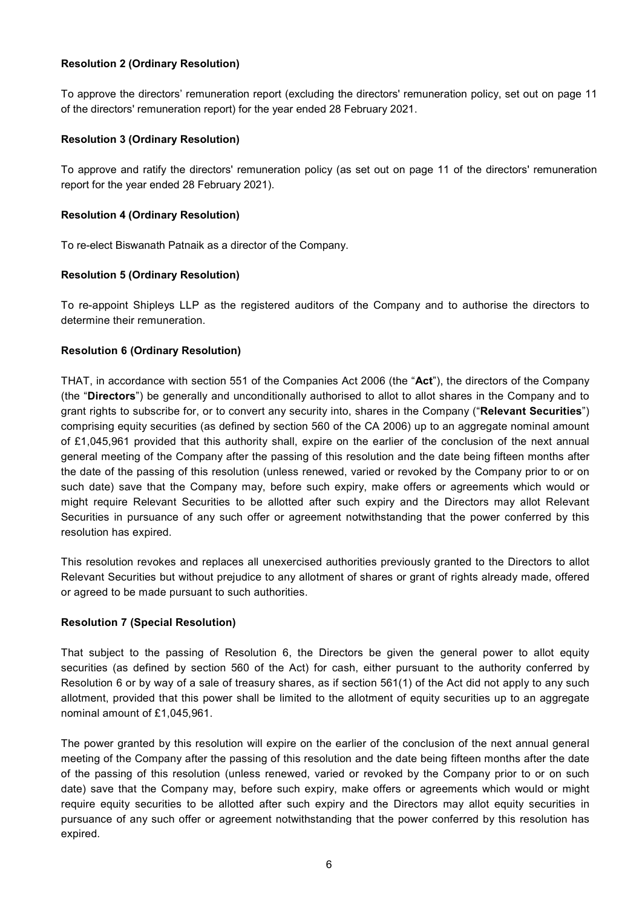#### Resolution 2 (Ordinary Resolution)

To approve the directors' remuneration report (excluding the directors' remuneration policy, set out on page 11 of the directors' remuneration report) for the year ended 28 February 2021.

#### Resolution 3 (Ordinary Resolution)

To approve and ratify the directors' remuneration policy (as set out on page 11 of the directors' remuneration report for the year ended 28 February 2021).

#### Resolution 4 (Ordinary Resolution)

To re-elect Biswanath Patnaik as a director of the Company.

#### Resolution 5 (Ordinary Resolution)

To re-appoint Shipleys LLP as the registered auditors of the Company and to authorise the directors to determine their remuneration.

#### Resolution 6 (Ordinary Resolution)

THAT, in accordance with section 551 of the Companies Act 2006 (the "Act"), the directors of the Company (the "Directors") be generally and unconditionally authorised to allot to allot shares in the Company and to grant rights to subscribe for, or to convert any security into, shares in the Company ("Relevant Securities") comprising equity securities (as defined by section 560 of the CA 2006) up to an aggregate nominal amount of £1,045,961 provided that this authority shall, expire on the earlier of the conclusion of the next annual general meeting of the Company after the passing of this resolution and the date being fifteen months after the date of the passing of this resolution (unless renewed, varied or revoked by the Company prior to or on such date) save that the Company may, before such expiry, make offers or agreements which would or might require Relevant Securities to be allotted after such expiry and the Directors may allot Relevant Securities in pursuance of any such offer or agreement notwithstanding that the power conferred by this resolution has expired.

This resolution revokes and replaces all unexercised authorities previously granted to the Directors to allot Relevant Securities but without prejudice to any allotment of shares or grant of rights already made, offered or agreed to be made pursuant to such authorities.

# Resolution 7 (Special Resolution)

That subject to the passing of Resolution 6, the Directors be given the general power to allot equity securities (as defined by section 560 of the Act) for cash, either pursuant to the authority conferred by Resolution 6 or by way of a sale of treasury shares, as if section 561(1) of the Act did not apply to any such allotment, provided that this power shall be limited to the allotment of equity securities up to an aggregate nominal amount of £1,045,961.

The power granted by this resolution will expire on the earlier of the conclusion of the next annual general meeting of the Company after the passing of this resolution and the date being fifteen months after the date of the passing of this resolution (unless renewed, varied or revoked by the Company prior to or on such date) save that the Company may, before such expiry, make offers or agreements which would or might require equity securities to be allotted after such expiry and the Directors may allot equity securities in pursuance of any such offer or agreement notwithstanding that the power conferred by this resolution has expired.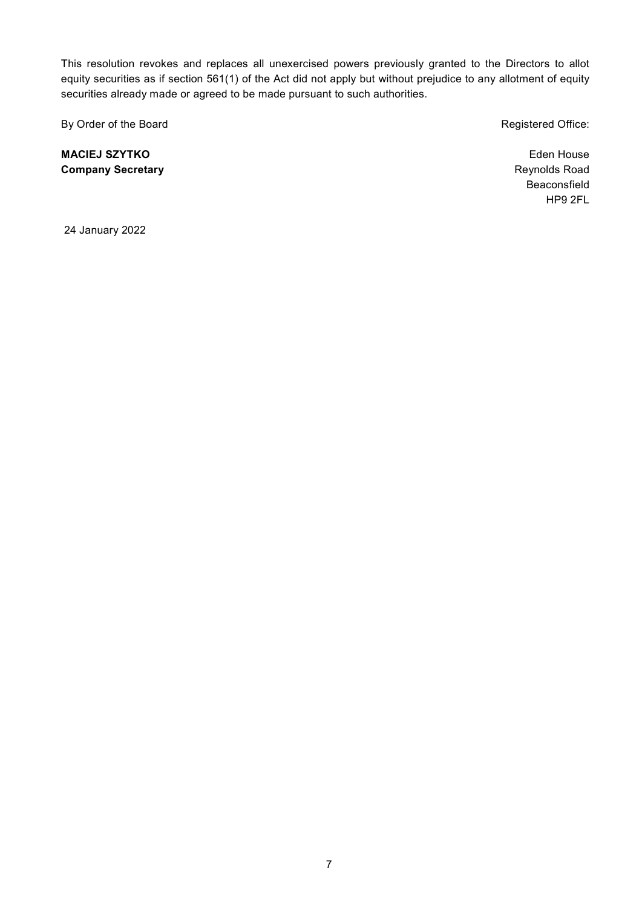This resolution revokes and replaces all unexercised powers previously granted to the Directors to allot equity securities as if section 561(1) of the Act did not apply but without prejudice to any allotment of equity securities already made or agreed to be made pursuant to such authorities.

By Order of the Board **Registered Office: Registered Office:** 

MACIEJ SZYTKO Company Secretary

Eden House Reynolds Road Beaconsfield HP9 2FL

24 January 2022